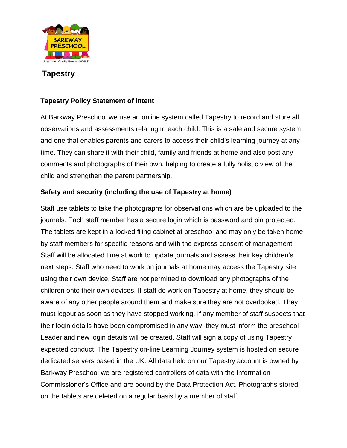

# **Tapestry**

## **Tapestry Policy Statement of intent**

At Barkway Preschool we use an online system called Tapestry to record and store all observations and assessments relating to each child. This is a safe and secure system and one that enables parents and carers to access their child's learning journey at any time. They can share it with their child, family and friends at home and also post any comments and photographs of their own, helping to create a fully holistic view of the child and strengthen the parent partnership.

### **Safety and security (including the use of Tapestry at home)**

Staff use tablets to take the photographs for observations which are be uploaded to the journals. Each staff member has a secure login which is password and pin protected. The tablets are kept in a locked filing cabinet at preschool and may only be taken home by staff members for specific reasons and with the express consent of management. Staff will be allocated time at work to update journals and assess their key children's next steps. Staff who need to work on journals at home may access the Tapestry site using their own device. Staff are not permitted to download any photographs of the children onto their own devices. If staff do work on Tapestry at home, they should be aware of any other people around them and make sure they are not overlooked. They must logout as soon as they have stopped working. If any member of staff suspects that their login details have been compromised in any way, they must inform the preschool Leader and new login details will be created. Staff will sign a copy of using Tapestry expected conduct. The Tapestry on-line Learning Journey system is hosted on secure dedicated servers based in the UK. All data held on our Tapestry account is owned by Barkway Preschool we are registered controllers of data with the Information Commissioner's Office and are bound by the Data Protection Act. Photographs stored on the tablets are deleted on a regular basis by a member of staff.